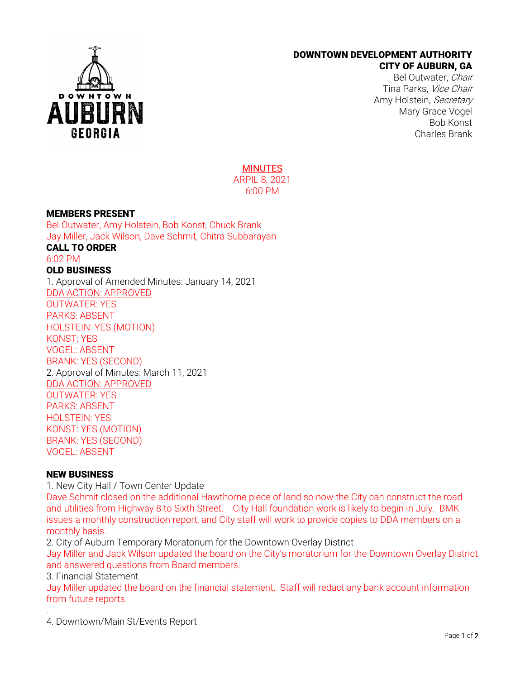

## DOWNTOWN DEVELOPMENT AUTHORITY CITY OF AUBURN, GA

Bel Outwater, Chair Tina Parks, Vice Chair Amy Holstein, Secretary Mary Grace Vogel Bob Konst Charles Brank

**MINUTES** 

ARPIL 8, 2021 6:00 PM

## MEMBERS PRESENT

Bel Outwater, Amy Holstein, Bob Konst, Chuck Brank Jay Miller, Jack Wilson, Dave Schmit, Chitra Subbarayan CALL TO ORDER 6:02 PM OLD BUSINESS 1. Approval of Amended Minutes: January 14, 2021 DDA ACTION: APPROVED OUTWATER: YES PARKS: ABSENT HOLSTEIN: YES (MOTION) KONST: YES VOGEL: ABSENT BRANK: YES (SECOND) 2. Approval of Minutes: March 11, 2021 DDA ACTION: APPROVED OUTWATER: YES PARKS: ABSENT HOLSTEIN: YES KONST: YES (MOTION) BRANK: YES (SECOND) VOGEL: ABSENT

## NEW BUSINESS

1. New City Hall / Town Center Update

Dave Schmit closed on the additional Hawthorne piece of land so now the City can construct the road and utilities from Highway 8 to Sixth Street. City Hall foundation work is likely to begin in July. BMK issues a monthly construction report, and City staff will work to provide copies to DDA members on a monthly basis.

2. City of Auburn Temporary Moratorium for the Downtown Overlay District

Jay Miller and Jack Wilson updated the board on the City's moratorium for the Downtown Overlay District and answered questions from Board members.

3. Financial Statement

Jay Miller updated the board on the financial statement. Staff will redact any bank account information from future reports.

. 4. Downtown/Main St/Events Report